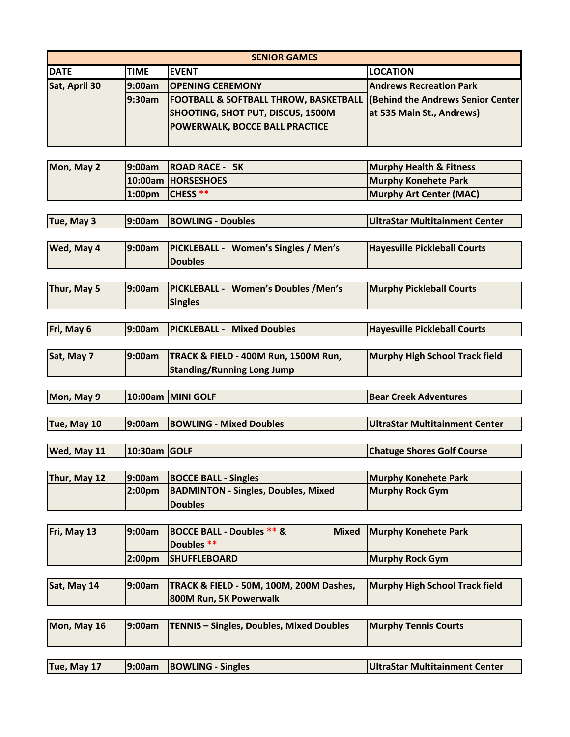| <b>SENIOR GAMES</b> |             |                                                                                                                                         |                                                                        |  |
|---------------------|-------------|-----------------------------------------------------------------------------------------------------------------------------------------|------------------------------------------------------------------------|--|
| <b>IDATE</b>        | <b>TIME</b> | <b>IEVENT</b>                                                                                                                           | <b>LOCATION</b>                                                        |  |
| Sat, April 30       | l9:00am     | <b>OPENING CEREMONY</b>                                                                                                                 | <b>Andrews Recreation Park</b>                                         |  |
|                     | 9:30am      | <b>FOOTBALL &amp; SOFTBALL THROW, BASKETBALL  </b><br><b>SHOOTING, SHOT PUT, DISCUS, 1500M</b><br><b>POWERWALK, BOCCE BALL PRACTICE</b> | <b>(Behind the Andrews Senior Center)</b><br>at 535 Main St., Andrews) |  |

| Mon, May 2 | 19:00am ROAD RACE - 5K    | <b>Murphy Health &amp; Fitness</b> |
|------------|---------------------------|------------------------------------|
|            | 10:00am HORSESHOES        | <b>Murphy Konehete Park</b>        |
|            | $1:00 \text{pm}$ CHESS ** | Murphy Art Center (MAC)            |

| Tue, May 3  | 19:00am | <b>BOWLING - Doubles</b>                                      | <b>UltraStar Multitainment Center</b> |
|-------------|---------|---------------------------------------------------------------|---------------------------------------|
|             |         |                                                               |                                       |
| Wed, May 4  | 9:00am  | <b>PICKLEBALL - Women's Singles / Men's</b><br><b>Doubles</b> | <b>Hayesville Pickleball Courts</b>   |
|             |         |                                                               |                                       |
| Thur, May 5 | 9:00am  | <b>PICKLEBALL - Women's Doubles / Men's</b><br><b>Singles</b> | <b>Murphy Pickleball Courts</b>       |

| Fri, May 6 | 9:00am PICKLEBALL - Mixed Doubles             | <b>Hayesville Pickleball Courts</b> |
|------------|-----------------------------------------------|-------------------------------------|
|            |                                               |                                     |
| Sat, May 7 | 9:00am   TRACK & FIELD - 400M Run, 1500M Run, | Murphy High School Track field      |

|            | <b>Standing/Running Long Jump</b> |                               |
|------------|-----------------------------------|-------------------------------|
|            |                                   |                               |
| Mon, May 9 | 10:00am   MINI GOLF               | <b>IBear Creek Adventures</b> |

| Tue, May 10 | 9:00am BOWLING - Mixed Doubles | UltraStar Multitainment Center |
|-------------|--------------------------------|--------------------------------|

| Wed, May 11 | $ 10:30$ am $ GOLF$ | <b>Chatuge Shores Golf Course</b> |
|-------------|---------------------|-----------------------------------|

| Thur, May 12 | 9:00am BOCCE BALL - Singles                 | Murphy Konehete Park |
|--------------|---------------------------------------------|----------------------|
|              | 2:00pm  BADMINTON - Singles, Doubles, Mixed | Murphy Rock Gym      |
|              | <b>Doubles</b>                              |                      |

| Fri, May 13 | 19:00am             | <b>BOCCE BALL - Doubles ** &amp;</b><br>Doubles ** | Mixed Murphy Konehete Park |
|-------------|---------------------|----------------------------------------------------|----------------------------|
|             | l2:00 <sub>pm</sub> | <b>SHUFFLEBOARD</b>                                | Murphy Rock Gym            |

| Sat, May 14 | [9:00am   TRACK & FIELD - 50M, 100M, 200M Dashes,<br>800M Run, 5K Powerwalk | Murphy High School Track field |
|-------------|-----------------------------------------------------------------------------|--------------------------------|
|             |                                                                             |                                |

| Mon, May 16 | [9:00am   TENNIS – Singles, Doubles, Mixed Doubles] | <b>Murphy Tennis Courts</b> |
|-------------|-----------------------------------------------------|-----------------------------|
|             |                                                     |                             |

| Tue, May 17 | 9:00am BOWLING - Singles | UltraStar Multitainment Center |
|-------------|--------------------------|--------------------------------|
|             |                          |                                |